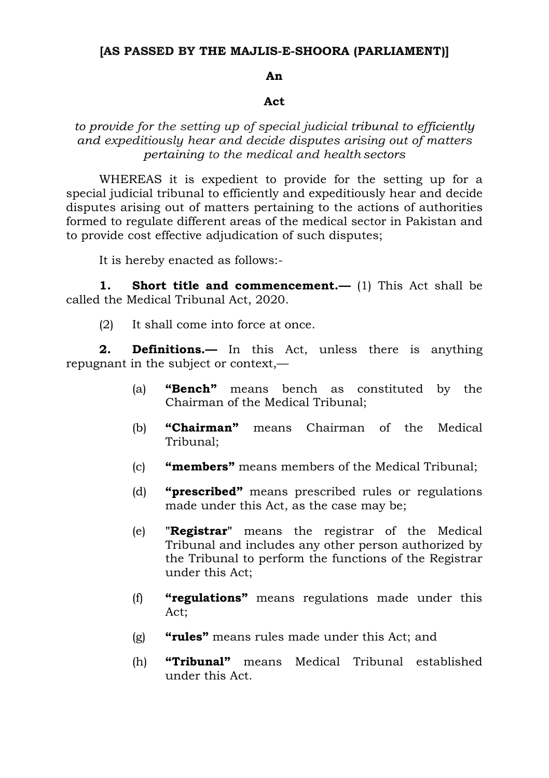## **[AS PASSED BY THE MAJLIS-E-SHOORA (PARLIAMENT)]**

## **An**

## **Act**

## *to provide for the setting up of special judicial tribunal to efficiently and expeditiously hear and decide disputes arising out of matters pertaining to the medical and health sectors*

WHEREAS it is expedient to provide for the setting up for a special judicial tribunal to efficiently and expeditiously hear and decide disputes arising out of matters pertaining to the actions of authorities formed to regulate different areas of the medical sector in Pakistan and to provide cost effective adjudication of such disputes;

It is hereby enacted as follows:-

**1. Short title and commencement.—** (1) This Act shall be called the Medical Tribunal Act, 2020.

(2) It shall come into force at once.

**2. Definitions.—** In this Act, unless there is anything repugnant in the subject or context,—

- (a) **"Bench"** means bench as constituted by the Chairman of the Medical Tribunal;
- (b) **"Chairman"** means Chairman of the Medical Tribunal;
- (c) **"members"** means members of the Medical Tribunal;
- (d) **"prescribed"** means prescribed rules or regulations made under this Act, as the case may be;
- (e) **"Registrar"** means the registrar of the Medical Tribunal and includes any other person authorized by the Tribunal to perform the functions of the Registrar under this Act;
- (f) **"regulations"** means regulations made under this Act;
- (g) **"rules"** means rules made under this Act; and
- (h) **"Tribunal"** means Medical Tribunal established under this Act.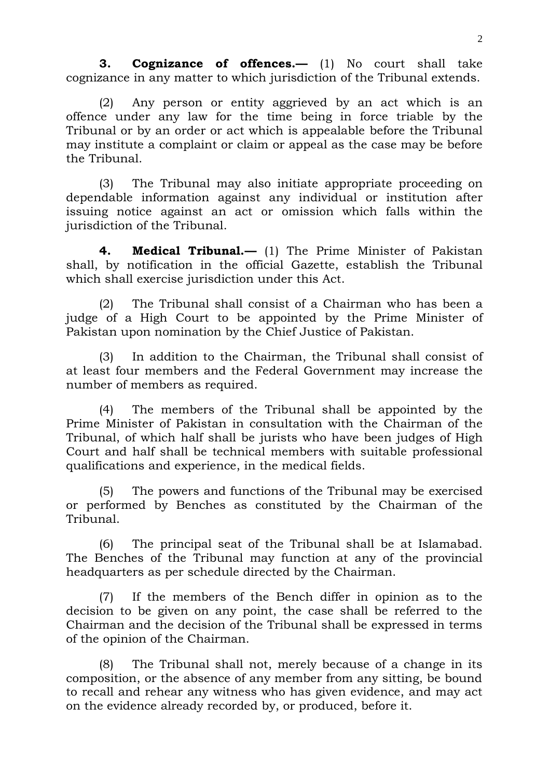**3. Cognizance of offences.—** (1) No court shall take cognizance in any matter to which jurisdiction of the Tribunal extends.

(2) Any person or entity aggrieved by an act which is an offence under any law for the time being in force triable by the Tribunal or by an order or act which is appealable before the Tribunal may institute a complaint or claim or appeal as the case may be before the Tribunal.

(3) The Tribunal may also initiate appropriate proceeding on dependable information against any individual or institution after issuing notice against an act or omission which falls within the jurisdiction of the Tribunal.

**4. Medical Tribunal.—** (1) The Prime Minister of Pakistan shall, by notification in the official Gazette, establish the Tribunal which shall exercise jurisdiction under this Act.

(2) The Tribunal shall consist of a Chairman who has been a judge of a High Court to be appointed by the Prime Minister of Pakistan upon nomination by the Chief Justice of Pakistan.

(3) In addition to the Chairman, the Tribunal shall consist of at least four members and the Federal Government may increase the number of members as required.

(4) The members of the Tribunal shall be appointed by the Prime Minister of Pakistan in consultation with the Chairman of the Tribunal, of which half shall be jurists who have been judges of High Court and half shall be technical members with suitable professional qualifications and experience, in the medical fields.

(5) The powers and functions of the Tribunal may be exercised or performed by Benches as constituted by the Chairman of the Tribunal.

(6) The principal seat of the Tribunal shall be at Islamabad. The Benches of the Tribunal may function at any of the provincial headquarters as per schedule directed by the Chairman.

(7) If the members of the Bench differ in opinion as to the decision to be given on any point, the case shall be referred to the Chairman and the decision of the Tribunal shall be expressed in terms of the opinion of the Chairman.

(8) The Tribunal shall not, merely because of a change in its composition, or the absence of any member from any sitting, be bound to recall and rehear any witness who has given evidence, and may act on the evidence already recorded by, or produced, before it.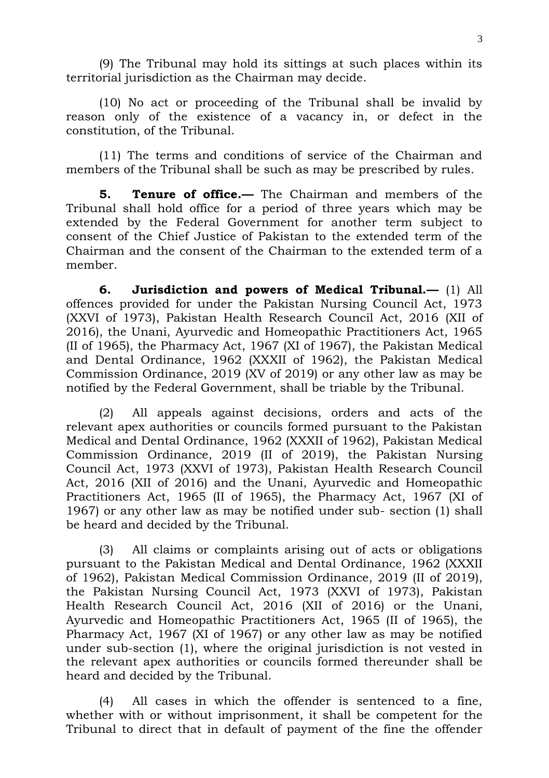(9) The Tribunal may hold its sittings at such places within its territorial jurisdiction as the Chairman may decide.

(10) No act or proceeding of the Tribunal shall be invalid by reason only of the existence of a vacancy in, or defect in the constitution, of the Tribunal.

(11) The terms and conditions of service of the Chairman and members of the Tribunal shall be such as may be prescribed by rules.

**5. Tenure of office.—** The Chairman and members of the Tribunal shall hold office for a period of three years which may be extended by the Federal Government for another term subject to consent of the Chief Justice of Pakistan to the extended term of the Chairman and the consent of the Chairman to the extended term of a member.

**6. Jurisdiction and powers of Medical Tribunal.—** (1) All offences provided for under the Pakistan Nursing Council Act, 1973 (XXVI of 1973), Pakistan Health Research Council Act, 2016 (XII of 2016), the Unani, Ayurvedic and Homeopathic Practitioners Act, 1965 (II of 1965), the Pharmacy Act, 1967 (XI of 1967), the Pakistan Medical and Dental Ordinance, 1962 (XXXII of 1962), the Pakistan Medical Commission Ordinance, 2019 (XV of 2019) or any other law as may be notified by the Federal Government, shall be triable by the Tribunal.

(2) All appeals against decisions, orders and acts of the relevant apex authorities or councils formed pursuant to the Pakistan Medical and Dental Ordinance, 1962 (XXXII of 1962), Pakistan Medical Commission Ordinance, 2019 (II of 2019), the Pakistan Nursing Council Act, 1973 (XXVI of 1973), Pakistan Health Research Council Act, 2016 (XII of 2016) and the Unani, Ayurvedic and Homeopathic Practitioners Act, 1965 (II of 1965), the Pharmacy Act, 1967 (XI of 1967) or any other law as may be notified under sub- section (1) shall be heard and decided by the Tribunal.

(3) All claims or complaints arising out of acts or obligations pursuant to the Pakistan Medical and Dental Ordinance, 1962 (XXXII of 1962), Pakistan Medical Commission Ordinance, 2019 (II of 2019), the Pakistan Nursing Council Act, 1973 (XXVI of 1973), Pakistan Health Research Council Act, 2016 (XII of 2016) or the Unani, Ayurvedic and Homeopathic Practitioners Act, 1965 (II of 1965), the Pharmacy Act, 1967 (XI of 1967) or any other law as may be notified under sub-section (1), where the original jurisdiction is not vested in the relevant apex authorities or councils formed thereunder shall be heard and decided by the Tribunal.

(4) All cases in which the offender is sentenced to a fine, whether with or without imprisonment, it shall be competent for the Tribunal to direct that in default of payment of the fine the offender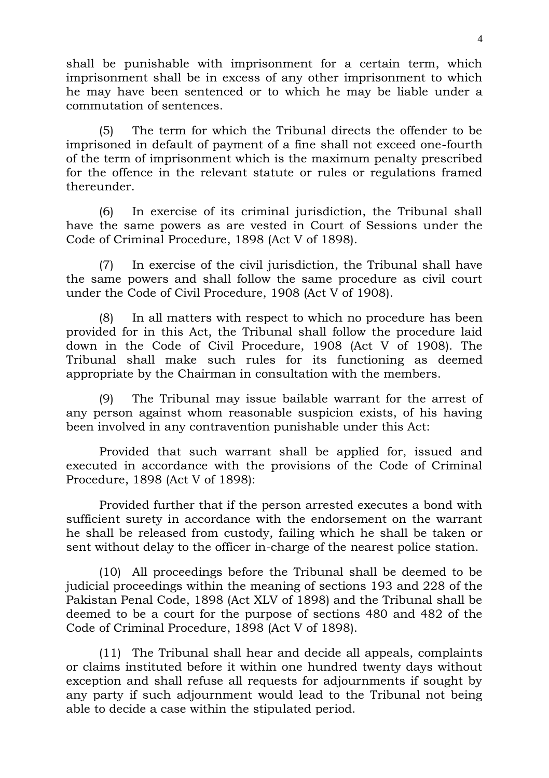shall be punishable with imprisonment for a certain term, which imprisonment shall be in excess of any other imprisonment to which he may have been sentenced or to which he may be liable under a commutation of sentences.

(5) The term for which the Tribunal directs the offender to be imprisoned in default of payment of a fine shall not exceed one-fourth of the term of imprisonment which is the maximum penalty prescribed for the offence in the relevant statute or rules or regulations framed thereunder.

(6) In exercise of its criminal jurisdiction, the Tribunal shall have the same powers as are vested in Court of Sessions under the Code of Criminal Procedure, 1898 (Act V of 1898).

(7) In exercise of the civil jurisdiction, the Tribunal shall have the same powers and shall follow the same procedure as civil court under the Code of Civil Procedure, 1908 (Act V of 1908).

(8) In all matters with respect to which no procedure has been provided for in this Act, the Tribunal shall follow the procedure laid down in the Code of Civil Procedure, 1908 (Act V of 1908). The Tribunal shall make such rules for its functioning as deemed appropriate by the Chairman in consultation with the members.

(9) The Tribunal may issue bailable warrant for the arrest of any person against whom reasonable suspicion exists, of his having been involved in any contravention punishable under this Act:

Provided that such warrant shall be applied for, issued and executed in accordance with the provisions of the Code of Criminal Procedure, 1898 (Act V of 1898):

Provided further that if the person arrested executes a bond with sufficient surety in accordance with the endorsement on the warrant he shall be released from custody, failing which he shall be taken or sent without delay to the officer in-charge of the nearest police station.

(10) All proceedings before the Tribunal shall be deemed to be judicial proceedings within the meaning of sections 193 and 228 of the Pakistan Penal Code, 1898 (Act XLV of 1898) and the Tribunal shall be deemed to be a court for the purpose of sections 480 and 482 of the Code of Criminal Procedure, 1898 (Act V of 1898).

(11) The Tribunal shall hear and decide all appeals, complaints or claims instituted before it within one hundred twenty days without exception and shall refuse all requests for adjournments if sought by any party if such adjournment would lead to the Tribunal not being able to decide a case within the stipulated period.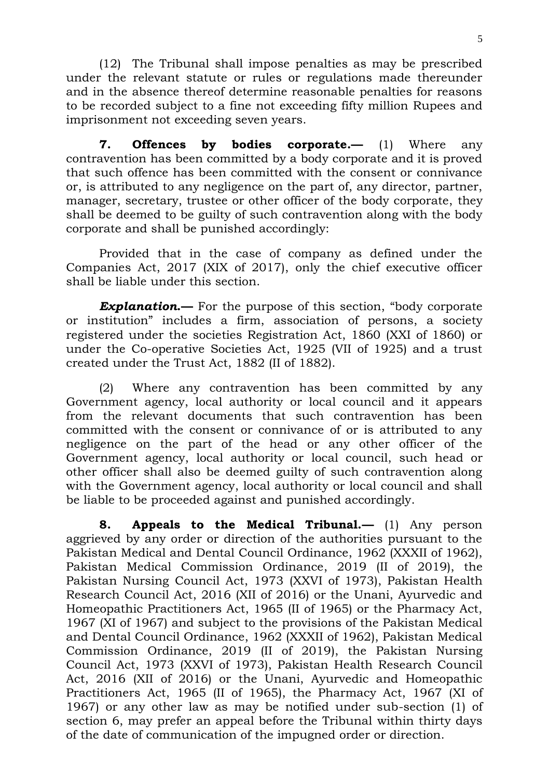(12) The Tribunal shall impose penalties as may be prescribed under the relevant statute or rules or regulations made thereunder and in the absence thereof determine reasonable penalties for reasons to be recorded subject to a fine not exceeding fifty million Rupees and imprisonment not exceeding seven years.

**7. Offences by bodies corporate.—** (1) Where any contravention has been committed by a body corporate and it is proved that such offence has been committed with the consent or connivance or, is attributed to any negligence on the part of, any director, partner, manager, secretary, trustee or other officer of the body corporate, they shall be deemed to be guilty of such contravention along with the body corporate and shall be punished accordingly:

Provided that in the case of company as defined under the Companies Act, 2017 (XIX of 2017), only the chief executive officer shall be liable under this section.

*Explanation***.—** For the purpose of this section, "body corporate or institution" includes a firm, association of persons, a society registered under the societies Registration Act, 1860 (XXI of 1860) or under the Co-operative Societies Act, 1925 (VII of 1925) and a trust created under the Trust Act, 1882 (II of 1882).

(2) Where any contravention has been committed by any Government agency, local authority or local council and it appears from the relevant documents that such contravention has been committed with the consent or connivance of or is attributed to any negligence on the part of the head or any other officer of the Government agency, local authority or local council, such head or other officer shall also be deemed guilty of such contravention along with the Government agency, local authority or local council and shall be liable to be proceeded against and punished accordingly.

**8. Appeals to the Medical Tribunal.—** (1) Any person aggrieved by any order or direction of the authorities pursuant to the Pakistan Medical and Dental Council Ordinance, 1962 (XXXII of 1962), Pakistan Medical Commission Ordinance, 2019 (II of 2019), the Pakistan Nursing Council Act, 1973 (XXVI of 1973), Pakistan Health Research Council Act, 2016 (XII of 2016) or the Unani, Ayurvedic and Homeopathic Practitioners Act, 1965 (II of 1965) or the Pharmacy Act, 1967 (XI of 1967) and subject to the provisions of the Pakistan Medical and Dental Council Ordinance, 1962 (XXXII of 1962), Pakistan Medical Commission Ordinance, 2019 (II of 2019), the Pakistan Nursing Council Act, 1973 (XXVI of 1973), Pakistan Health Research Council Act, 2016 (XII of 2016) or the Unani, Ayurvedic and Homeopathic Practitioners Act, 1965 (II of 1965), the Pharmacy Act, 1967 (XI of 1967) or any other law as may be notified under sub-section (1) of section 6, may prefer an appeal before the Tribunal within thirty days of the date of communication of the impugned order or direction.